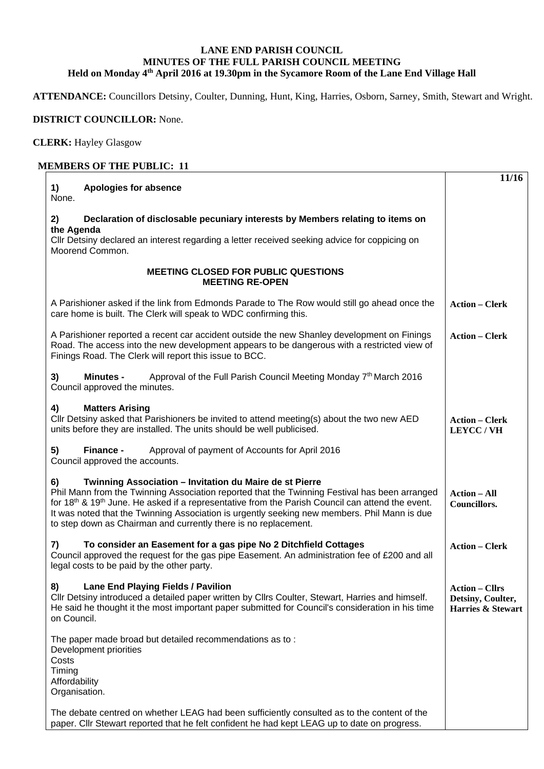## **LANE END PARISH COUNCIL MINUTES OF THE FULL PARISH COUNCIL MEETING Held on Monday 4th April 2016 at 19.30pm in the Sycamore Room of the Lane End Village Hall**

**ATTENDANCE:** Councillors Detsiny, Coulter, Dunning, Hunt, King, Harries, Osborn, Sarney, Smith, Stewart and Wright.

## **DISTRICT COUNCILLOR:** None.

**CLERK:** Hayley Glasgow

## **MEMBERS OF THE PUBLIC: 11**

| 1)<br><b>Apologies for absence</b>                                                                                                                                                                                                                                                                                                                                                                                                        | 11/16                                                           |
|-------------------------------------------------------------------------------------------------------------------------------------------------------------------------------------------------------------------------------------------------------------------------------------------------------------------------------------------------------------------------------------------------------------------------------------------|-----------------------------------------------------------------|
| None.                                                                                                                                                                                                                                                                                                                                                                                                                                     |                                                                 |
| 2)<br>Declaration of disclosable pecuniary interests by Members relating to items on<br>the Agenda                                                                                                                                                                                                                                                                                                                                        |                                                                 |
| Cllr Detsiny declared an interest regarding a letter received seeking advice for coppicing on<br>Moorend Common.                                                                                                                                                                                                                                                                                                                          |                                                                 |
| <b>MEETING CLOSED FOR PUBLIC QUESTIONS</b><br><b>MEETING RE-OPEN</b>                                                                                                                                                                                                                                                                                                                                                                      |                                                                 |
| A Parishioner asked if the link from Edmonds Parade to The Row would still go ahead once the<br>care home is built. The Clerk will speak to WDC confirming this.                                                                                                                                                                                                                                                                          | <b>Action - Clerk</b>                                           |
| A Parishioner reported a recent car accident outside the new Shanley development on Finings<br>Road. The access into the new development appears to be dangerous with a restricted view of<br>Finings Road. The Clerk will report this issue to BCC.                                                                                                                                                                                      | <b>Action - Clerk</b>                                           |
| Approval of the Full Parish Council Meeting Monday 7th March 2016<br>3)<br><b>Minutes -</b><br>Council approved the minutes.                                                                                                                                                                                                                                                                                                              |                                                                 |
| 4)<br><b>Matters Arising</b><br>Cllr Detsiny asked that Parishioners be invited to attend meeting(s) about the two new AED<br>units before they are installed. The units should be well publicised.                                                                                                                                                                                                                                       | <b>Action - Clerk</b><br>LEYCC/VH                               |
| 5)<br>Approval of payment of Accounts for April 2016<br>Finance -<br>Council approved the accounts.                                                                                                                                                                                                                                                                                                                                       |                                                                 |
| Twinning Association - Invitation du Maire de st Pierre<br>6)<br>Phil Mann from the Twinning Association reported that the Twinning Festival has been arranged<br>for $18th$ & $19th$ June. He asked if a representative from the Parish Council can attend the event.<br>It was noted that the Twinning Association is urgently seeking new members. Phil Mann is due<br>to step down as Chairman and currently there is no replacement. | <b>Action – All</b><br><b>Councillors.</b>                      |
| To consider an Easement for a gas pipe No 2 Ditchfield Cottages<br>7)<br>Council approved the request for the gas pipe Easement. An administration fee of £200 and all<br>legal costs to be paid by the other party.                                                                                                                                                                                                                      | <b>Action - Clerk</b>                                           |
| 8)<br><b>Lane End Playing Fields / Pavilion</b><br>Cllr Detsiny introduced a detailed paper written by Cllrs Coulter, Stewart, Harries and himself.<br>He said he thought it the most important paper submitted for Council's consideration in his time<br>on Council.                                                                                                                                                                    | <b>Action - Cllrs</b><br>Detsiny, Coulter,<br>Harries & Stewart |
| The paper made broad but detailed recommendations as to:<br>Development priorities<br>Costs<br>Timing<br>Affordability<br>Organisation.                                                                                                                                                                                                                                                                                                   |                                                                 |
| The debate centred on whether LEAG had been sufficiently consulted as to the content of the<br>paper. Cllr Stewart reported that he felt confident he had kept LEAG up to date on progress.                                                                                                                                                                                                                                               |                                                                 |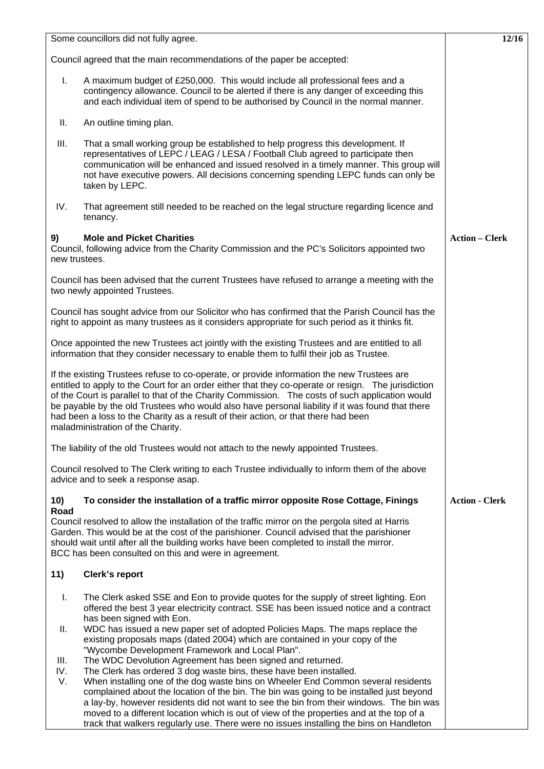| Some councillors did not fully agree.                                                                                                                                                                                                                                                                                                                                                                                                                                                                                               | 12/16                 |
|-------------------------------------------------------------------------------------------------------------------------------------------------------------------------------------------------------------------------------------------------------------------------------------------------------------------------------------------------------------------------------------------------------------------------------------------------------------------------------------------------------------------------------------|-----------------------|
| Council agreed that the main recommendations of the paper be accepted:                                                                                                                                                                                                                                                                                                                                                                                                                                                              |                       |
| I.<br>A maximum budget of £250,000. This would include all professional fees and a<br>contingency allowance. Council to be alerted if there is any danger of exceeding this<br>and each individual item of spend to be authorised by Council in the normal manner.                                                                                                                                                                                                                                                                  |                       |
| Ш.<br>An outline timing plan.                                                                                                                                                                                                                                                                                                                                                                                                                                                                                                       |                       |
| Ш.<br>That a small working group be established to help progress this development. If<br>representatives of LEPC / LEAG / LESA / Football Club agreed to participate then<br>communication will be enhanced and issued resolved in a timely manner. This group will<br>not have executive powers. All decisions concerning spending LEPC funds can only be<br>taken by LEPC.                                                                                                                                                        |                       |
| IV.<br>That agreement still needed to be reached on the legal structure regarding licence and<br>tenancy.                                                                                                                                                                                                                                                                                                                                                                                                                           |                       |
| <b>Mole and Picket Charities</b><br>9)<br>Council, following advice from the Charity Commission and the PC's Solicitors appointed two<br>new trustees.                                                                                                                                                                                                                                                                                                                                                                              | <b>Action - Clerk</b> |
| Council has been advised that the current Trustees have refused to arrange a meeting with the<br>two newly appointed Trustees.                                                                                                                                                                                                                                                                                                                                                                                                      |                       |
| Council has sought advice from our Solicitor who has confirmed that the Parish Council has the<br>right to appoint as many trustees as it considers appropriate for such period as it thinks fit.                                                                                                                                                                                                                                                                                                                                   |                       |
| Once appointed the new Trustees act jointly with the existing Trustees and are entitled to all<br>information that they consider necessary to enable them to fulfil their job as Trustee.                                                                                                                                                                                                                                                                                                                                           |                       |
| If the existing Trustees refuse to co-operate, or provide information the new Trustees are<br>entitled to apply to the Court for an order either that they co-operate or resign. The jurisdiction<br>of the Court is parallel to that of the Charity Commission. The costs of such application would<br>be payable by the old Trustees who would also have personal liability if it was found that there<br>had been a loss to the Charity as a result of their action, or that there had been<br>maladministration of the Charity. |                       |
| The liability of the old Trustees would not attach to the newly appointed Trustees.                                                                                                                                                                                                                                                                                                                                                                                                                                                 |                       |
| Council resolved to The Clerk writing to each Trustee individually to inform them of the above<br>advice and to seek a response asap.                                                                                                                                                                                                                                                                                                                                                                                               |                       |
| 10)<br>To consider the installation of a traffic mirror opposite Rose Cottage, Finings<br>Road                                                                                                                                                                                                                                                                                                                                                                                                                                      | <b>Action - Clerk</b> |
| Council resolved to allow the installation of the traffic mirror on the pergola sited at Harris<br>Garden. This would be at the cost of the parishioner. Council advised that the parishioner<br>should wait until after all the building works have been completed to install the mirror.<br>BCC has been consulted on this and were in agreement.                                                                                                                                                                                 |                       |
| 11)<br>Clerk's report                                                                                                                                                                                                                                                                                                                                                                                                                                                                                                               |                       |
| The Clerk asked SSE and Eon to provide quotes for the supply of street lighting. Eon<br>I.<br>offered the best 3 year electricity contract. SSE has been issued notice and a contract<br>has been signed with Eon.<br>WDC has issued a new paper set of adopted Policies Maps. The maps replace the<br>II.<br>existing proposals maps (dated 2004) which are contained in your copy of the<br>"Wycombe Development Framework and Local Plan".                                                                                       |                       |
| The WDC Devolution Agreement has been signed and returned.<br>III.<br>IV.<br>The Clerk has ordered 3 dog waste bins, these have been installed.                                                                                                                                                                                                                                                                                                                                                                                     |                       |
| V.<br>When installing one of the dog waste bins on Wheeler End Common several residents<br>complained about the location of the bin. The bin was going to be installed just beyond<br>a lay-by, however residents did not want to see the bin from their windows. The bin was<br>moved to a different location which is out of view of the properties and at the top of a<br>track that walkers regularly use. There were no issues installing the bins on Handleton                                                                |                       |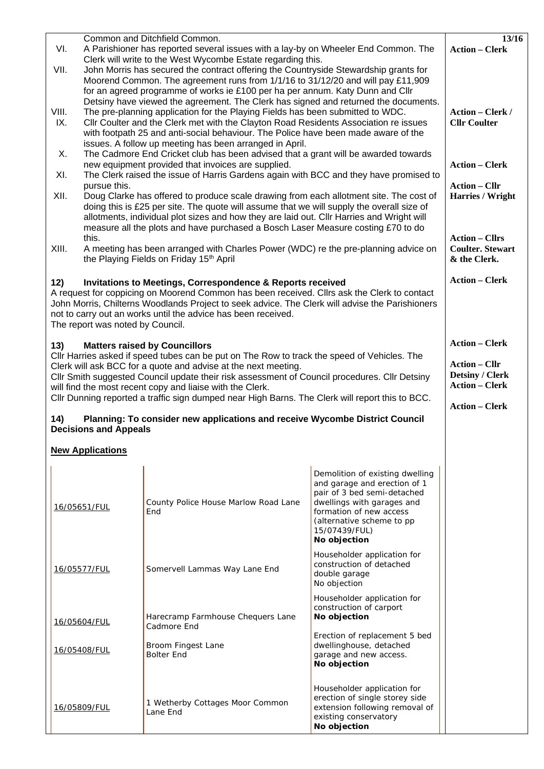| Common and Ditchfield Common.                                                                                                                                                                                                                                                                                                                                                                |                                                                                                                                                                                                                                                                                                                                                                                                                |                                                  |                                                                                                                                                                                                                       | 13/16                                                                   |  |
|----------------------------------------------------------------------------------------------------------------------------------------------------------------------------------------------------------------------------------------------------------------------------------------------------------------------------------------------------------------------------------------------|----------------------------------------------------------------------------------------------------------------------------------------------------------------------------------------------------------------------------------------------------------------------------------------------------------------------------------------------------------------------------------------------------------------|--------------------------------------------------|-----------------------------------------------------------------------------------------------------------------------------------------------------------------------------------------------------------------------|-------------------------------------------------------------------------|--|
| VI.                                                                                                                                                                                                                                                                                                                                                                                          | A Parishioner has reported several issues with a lay-by on Wheeler End Common. The                                                                                                                                                                                                                                                                                                                             | <b>Action - Clerk</b>                            |                                                                                                                                                                                                                       |                                                                         |  |
| VII.                                                                                                                                                                                                                                                                                                                                                                                         | Clerk will write to the West Wycombe Estate regarding this.<br>John Morris has secured the contract offering the Countryside Stewardship grants for<br>Moorend Common. The agreement runs from 1/1/16 to 31/12/20 and will pay £11,909<br>for an agreed programme of works ie £100 per ha per annum. Katy Dunn and Cllr<br>Detsiny have viewed the agreement. The Clerk has signed and returned the documents. |                                                  |                                                                                                                                                                                                                       |                                                                         |  |
| VIII.<br>IX.                                                                                                                                                                                                                                                                                                                                                                                 | The pre-planning application for the Playing Fields has been submitted to WDC.<br>CIIr Coulter and the Clerk met with the Clayton Road Residents Association re issues<br>with footpath 25 and anti-social behaviour. The Police have been made aware of the<br>issues. A follow up meeting has been arranged in April.                                                                                        |                                                  |                                                                                                                                                                                                                       |                                                                         |  |
| Х.<br>XI.                                                                                                                                                                                                                                                                                                                                                                                    | The Cadmore End Cricket club has been advised that a grant will be awarded towards<br>new equipment provided that invoices are supplied.<br>The Clerk raised the issue of Harris Gardens again with BCC and they have promised to                                                                                                                                                                              |                                                  |                                                                                                                                                                                                                       |                                                                         |  |
| pursue this.<br>XII.<br>Doug Clarke has offered to produce scale drawing from each allotment site. The cost of<br>doing this is £25 per site. The quote will assume that we will supply the overall size of<br>allotments, individual plot sizes and how they are laid out. Cllr Harries and Wright will<br>measure all the plots and have purchased a Bosch Laser Measure costing £70 to do |                                                                                                                                                                                                                                                                                                                                                                                                                |                                                  |                                                                                                                                                                                                                       | <b>Action – Cllr</b><br>Harries / Wright                                |  |
| XIII.                                                                                                                                                                                                                                                                                                                                                                                        | this.<br>A meeting has been arranged with Charles Power (WDC) re the pre-planning advice on<br>the Playing Fields on Friday 15th April                                                                                                                                                                                                                                                                         |                                                  |                                                                                                                                                                                                                       | <b>Action - Cllrs</b><br><b>Coulter. Stewart</b><br>& the Clerk.        |  |
| 12)<br><b>Invitations to Meetings, Correspondence &amp; Reports received</b><br>A request for coppicing on Moorend Common has been received. Cllrs ask the Clerk to contact<br>John Morris, Chilterns Woodlands Project to seek advice. The Clerk will advise the Parishioners<br>not to carry out an works until the advice has been received.<br>The report was noted by Council.          |                                                                                                                                                                                                                                                                                                                                                                                                                |                                                  |                                                                                                                                                                                                                       | <b>Action – Clerk</b>                                                   |  |
| 13)                                                                                                                                                                                                                                                                                                                                                                                          |                                                                                                                                                                                                                                                                                                                                                                                                                | <b>Matters raised by Councillors</b>             |                                                                                                                                                                                                                       | <b>Action - Clerk</b>                                                   |  |
| Cllr Harries asked if speed tubes can be put on The Row to track the speed of Vehicles. The<br>Clerk will ask BCC for a quote and advise at the next meeting.<br>CIIr Smith suggested Council update their risk assessment of Council procedures. CIIr Detsiny<br>will find the most recent copy and liaise with the Clerk.                                                                  |                                                                                                                                                                                                                                                                                                                                                                                                                |                                                  |                                                                                                                                                                                                                       | <b>Action – Cllr</b><br><b>Detsiny / Clerk</b><br><b>Action – Clerk</b> |  |
| Cllr Dunning reported a traffic sign dumped near High Barns. The Clerk will report this to BCC.<br>Planning: To consider new applications and receive Wycombe District Council<br>14)<br><b>Decisions and Appeals</b>                                                                                                                                                                        |                                                                                                                                                                                                                                                                                                                                                                                                                |                                                  |                                                                                                                                                                                                                       | <b>Action - Clerk</b>                                                   |  |
| <b>New Applications</b>                                                                                                                                                                                                                                                                                                                                                                      |                                                                                                                                                                                                                                                                                                                                                                                                                |                                                  |                                                                                                                                                                                                                       |                                                                         |  |
|                                                                                                                                                                                                                                                                                                                                                                                              | 16/05651/FUL                                                                                                                                                                                                                                                                                                                                                                                                   | County Police House Marlow Road Lane<br>End      | Demolition of existing dwelling<br>and garage and erection of 1<br>pair of 3 bed semi-detached<br>dwellings with garages and<br>formation of new access<br>(alternative scheme to pp<br>15/07439/FUL)<br>No objection |                                                                         |  |
|                                                                                                                                                                                                                                                                                                                                                                                              | 16/05577/FUL                                                                                                                                                                                                                                                                                                                                                                                                   | Somervell Lammas Way Lane End                    | Householder application for<br>construction of detached<br>double garage<br>No objection                                                                                                                              |                                                                         |  |
|                                                                                                                                                                                                                                                                                                                                                                                              | 16/05604/FUL                                                                                                                                                                                                                                                                                                                                                                                                   | Harecramp Farmhouse Chequers Lane<br>Cadmore End | Householder application for<br>construction of carport<br>No objection                                                                                                                                                |                                                                         |  |
|                                                                                                                                                                                                                                                                                                                                                                                              | 16/05408/FUL                                                                                                                                                                                                                                                                                                                                                                                                   | Broom Fingest Lane<br><b>Bolter End</b>          | Erection of replacement 5 bed<br>dwellinghouse, detached<br>garage and new access.<br>No objection                                                                                                                    |                                                                         |  |
|                                                                                                                                                                                                                                                                                                                                                                                              | 16/05809/FUL                                                                                                                                                                                                                                                                                                                                                                                                   | 1 Wetherby Cottages Moor Common<br>Lane End      | Householder application for<br>erection of single storey side<br>extension following removal of<br>existing conservatory<br>No objection                                                                              |                                                                         |  |